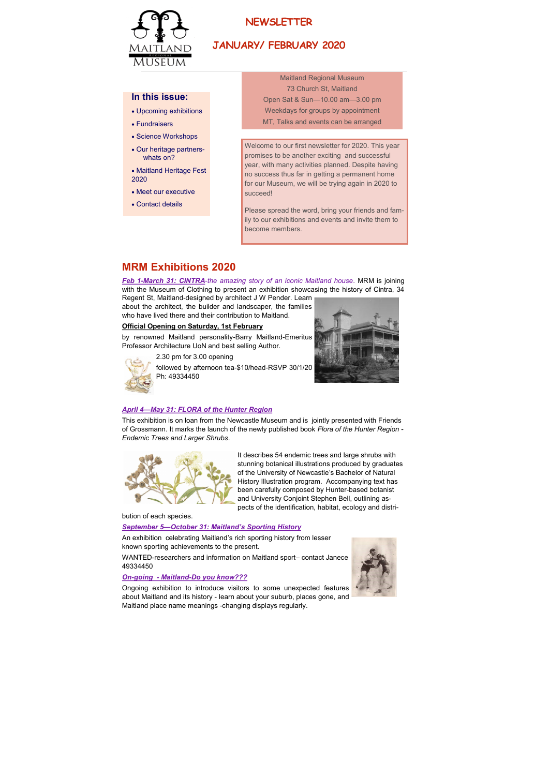

# **NEWSLETTER**

# **JANUARY/ FEBRUARY 2020**

## In this issue:

- Upcoming exhibitions
- Fundraisers
- Science Workshops
- Our heritage partnerswhats on?
- Maitland Heritage Fest 2020
- Meet our executive
- Contact details

**Maitland Regional Museum** 73 Church St. Maitland Open Sat & Sun-10.00 am-3.00 pm Weekdays for groups by appointment MT, Talks and events can be arranged

Welcome to our first newsletter for 2020. This year promises to be another exciting and successful year, with many activities planned. Despite having no success thus far in getting a permanent home for our Museum, we will be trying again in 2020 to succeed!

Please spread the word, bring your friends and family to our exhibitions and events and invite them to become members.

## **MRM Exhibitions 2020**

Feb 1-March 31: CINTRA-the amazing story of an iconic Maitland house. MRM is joining with the Museum of Clothing to present an exhibition showcasing the history of Cintra, 34

Regent St, Maitland-designed by architect J W Pender. Learn about the architect, the builder and landscaper, the families who have lived there and their contribution to Maitland.

## Official Opening on Saturday, 1st February

by renowned Maitland personality-Barry Maitland-Emeritus Professor Architecture UoN and best selling Author.

2.30 pm for 3.00 opening





followed by afternoon tea-\$10/head-RSVP 30/1/20 Ph: 49334450

## April 4-May 31: FLORA of the Hunter Region

This exhibition is on loan from the Newcastle Museum and is jointly presented with Friends of Grossmann. It marks the launch of the newly published book Flora of the Hunter Region -Endemic Trees and Larger Shrubs.



It describes 54 endemic trees and large shrubs with stunning botanical illustrations produced by graduates of the University of Newcastle's Bachelor of Natural History Illustration program. Accompanying text has been carefully composed by Hunter-based botanist and University Conjoint Stephen Bell, outlining aspects of the identification, habitat, ecology and distri-

bution of each species

#### **September 5-October 31: Maitland's Sporting History**

An exhibition celebrating Maitland's rich sporting history from lesser known sporting achievements to the present.

WANTED-researchers and information on Maitland sport- contact Janece 49334450

## On-going - Maitland-Do you know???

Ongoing exhibition to introduce visitors to some unexpected features about Maitland and its history - learn about your suburb, places gone, and Maitland place name meanings -changing displays regularly.

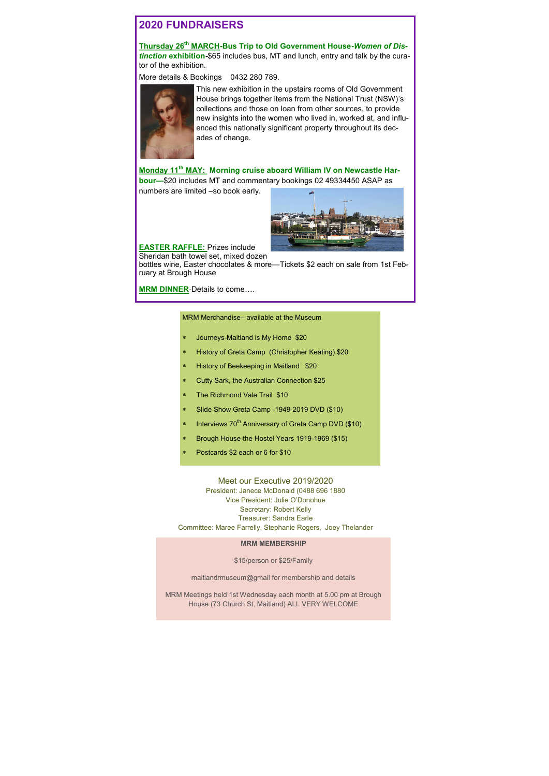# **2020 FUNDRAISERS**

Thursday 26<sup>th</sup> MARCH-Bus Trip to Old Government House-Women of Distinction exhibition-\$65 includes bus, MT and lunch, entry and talk by the curator of the exhibition.

More details & Bookings 0432 280 789.



This new exhibition in the upstairs rooms of Old Government House brings together items from the National Trust (NSW)'s collections and those on loan from other sources, to provide new insights into the women who lived in, worked at, and influenced this nationally significant property throughout its decades of change.

Monday 11<sup>th</sup> MAY: Morning cruise aboard William IV on Newcastle Harbour-\$20 includes MT and commentary bookings 02 49334450 ASAP as numbers are limited -so book early.



**EASTER RAFFLE:** Prizes include Sheridan bath towel set, mixed dozen

bottles wine, Easter chocolates & more-Tickets \$2 each on sale from 1st February at Brough House

**MRM DINNER-Details to come....** 

#### MRM Merchandise-available at the Museum

- Journeys-Maitland is My Home \$20
- History of Greta Camp (Christopher Keating) \$20
- History of Beekeeping in Maitland \$20
- Cutty Sark, the Australian Connection \$25
- The Richmond Vale Trail \$10
- Slide Show Greta Camp -1949-2019 DVD (\$10)
- Interviews 70<sup>th</sup> Anniversary of Greta Camp DVD (\$10)
- Brough House-the Hostel Years 1919-1969 (\$15)
- Postcards \$2 each or 6 for \$10

Meet our Executive 2019/2020 President: Janece McDonald (0488 696 1880 Vice President: Julie O'Donohue Secretary: Robert Kelly Treasurer: Sandra Earle Committee: Maree Farrelly, Stephanie Rogers, Joey Thelander

**MRM MEMBERSHIP** 

\$15/person or \$25/Family

maitlandrmuseum@gmail for membership and details

MRM Meetings held 1st Wednesday each month at 5.00 pm at Brough House (73 Church St, Maitland) ALL VERY WELCOME